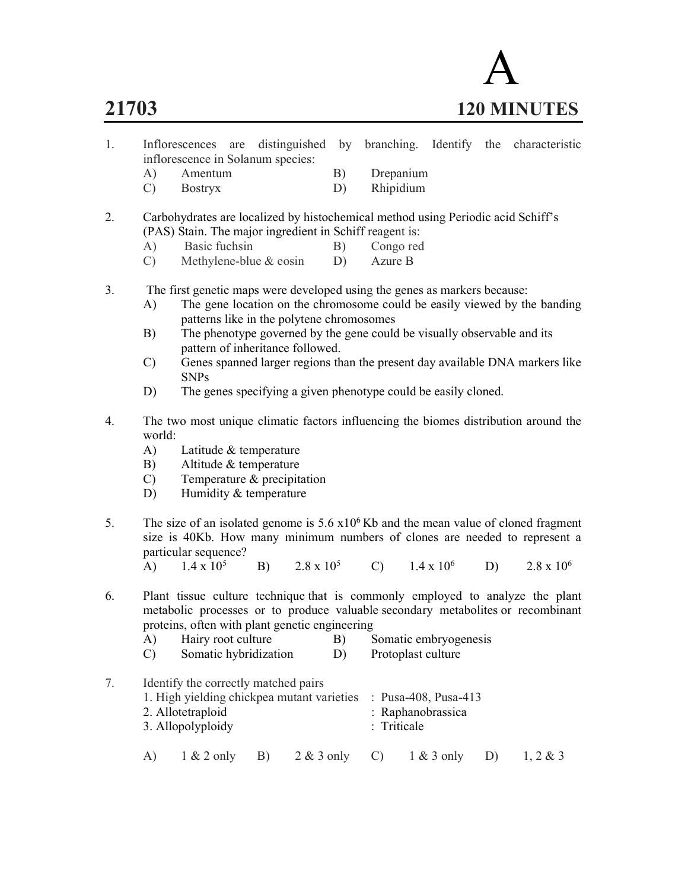

|                                   |  | Inflorescences are distinguished by branching. Identify the characteristic |  |           |  |  |
|-----------------------------------|--|----------------------------------------------------------------------------|--|-----------|--|--|
| inflorescence in Solanum species: |  |                                                                            |  |           |  |  |
| A) Amentum                        |  |                                                                            |  | Drepanium |  |  |

C) Bostryx D) Rhipidium

2. Carbohydrates are localized by histochemical method using Periodic acid Schiff's (PAS) Stain. The major ingredient in Schiff reagent is:

- A) Basic fuchsin B) Congo red
- C) Methylene-blue & eosin D) Azure B
- 3. The first genetic maps were developed using the genes as markers because:
	- A) The gene location on the chromosome could be easily viewed by the banding patterns like in the polytene chromosomes
	- B) The phenotype governed by the gene could be visually observable and its pattern of inheritance followed.
	- C) Genes spanned larger regions than the present day available DNA markers like SNPs
	- D) The genes specifying a given phenotype could be easily cloned.
- 4. The two most unique climatic factors influencing the biomes distribution around the world:
	- A) Latitude & temperature
	- B) Altitude & temperature
	- C) Temperature & precipitation
	- D) Humidity & temperature
- 5. The size of an isolated genome is  $5.6 \times 10^6$  Kb and the mean value of cloned fragment size is 40Kb. How many minimum numbers of clones are needed to represent a particular sequence?
	- A)  $1.4 \times 10^5$ B)  $2.8 \times 10^5$ C)  $1.4 \times 10^6$ D)  $2.8 \times 10^6$
- 6. Plant tissue culture technique that is commonly employed to analyze the plant metabolic processes or to produce valuable secondary metabolites or recombinant proteins, often with plant genetic engineering
	- A) Hairy root culture B) Somatic embryogenesis
	- C) Somatic hybridization D) Protoplast culture
- 7. Identify the correctly matched pairs 1. High yielding chickpea mutant varieties : Pusa-408, Pusa-413 2. Allotetraploid : Raphanobrassica 3. Allopolyploidy : Triticale A) 1 & 2 only B) 2 & 3 only C) 1 & 3 only D) 1, 2 & 3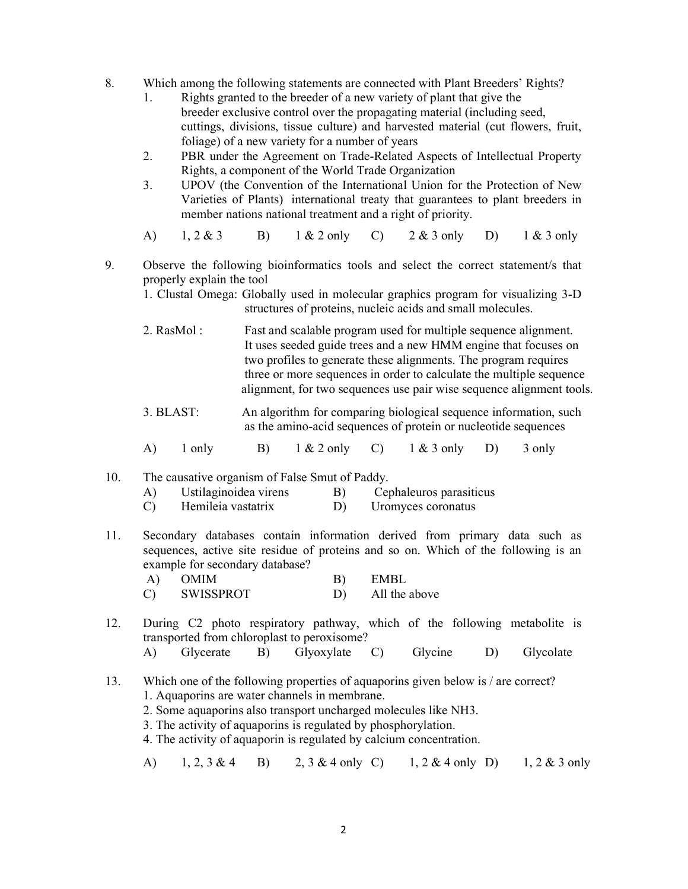- 8. Which among the following statements are connected with Plant Breeders' Rights?
	- 1. Rights granted to the breeder of a new variety of plant that give the breeder exclusive control over the propagating material (including seed, cuttings, divisions, tissue culture) and harvested material (cut flowers, fruit, foliage) of a new variety for a number of years
	- 2. PBR under the Agreement on Trade-Related Aspects of Intellectual Property Rights, a component of the World Trade Organization
	- 3. UPOV (the Convention of the International Union for the Protection of New Varieties of Plants) international treaty that guarantees to plant breeders in member nations national treatment and a right of priority.
	- A) 1, 2 & 3 B) 1 & 2 only C) 2 & 3 only D) 1 & 3 only
- 9. Observe the following bioinformatics tools and select the correct statement/s that properly explain the tool
	- 1. Clustal Omega: Globally used in molecular graphics program for visualizing 3-D structures of proteins, nucleic acids and small molecules.
	- 2. RasMol : Fast and scalable program used for multiple sequence alignment. It uses seeded guide trees and a new HMM engine that focuses on two profiles to generate these alignments. The program requires three or more sequences in order to calculate the multiple sequence alignment, for two sequences use pair wise sequence alignment tools.
	- 3. BLAST: An algorithm for comparing biological sequence information, such as the amino-acid sequences of protein or nucleotide sequences
	- A) 1 only B) 1 & 2 only C) 1 & 3 only D) 3 only

### 10. The causative organism of False Smut of Paddy.

- A) Ustilaginoidea virens B) Cephaleuros parasiticus
- C) Hemileia vastatrix D) Uromyces coronatus
- 11. Secondary databases contain information derived from primary data such as sequences, active site residue of proteins and so on. Which of the following is an example for secondary database?
	- A) OMIM B) EMBL C) SWISSPROT D) All the above
- 12. During C2 photo respiratory pathway, which of the following metabolite is transported from chloroplast to peroxisome?
	- A) Glycerate B) Glyoxylate C) Glycine D) Glycolate
- 13. Which one of the following properties of aquaporins given below is / are correct? 1. Aquaporins are water channels in membrane.
	- 2. Some aquaporins also transport uncharged molecules like NH3.
	- 3. The activity of aquaporins is regulated by phosphorylation.
	- 4. The activity of aquaporin is regulated by calcium concentration.
	- A) 1, 2, 3 & 4 B) 2, 3 & 4 only C) 1, 2 & 4 only D) 1, 2 & 3 only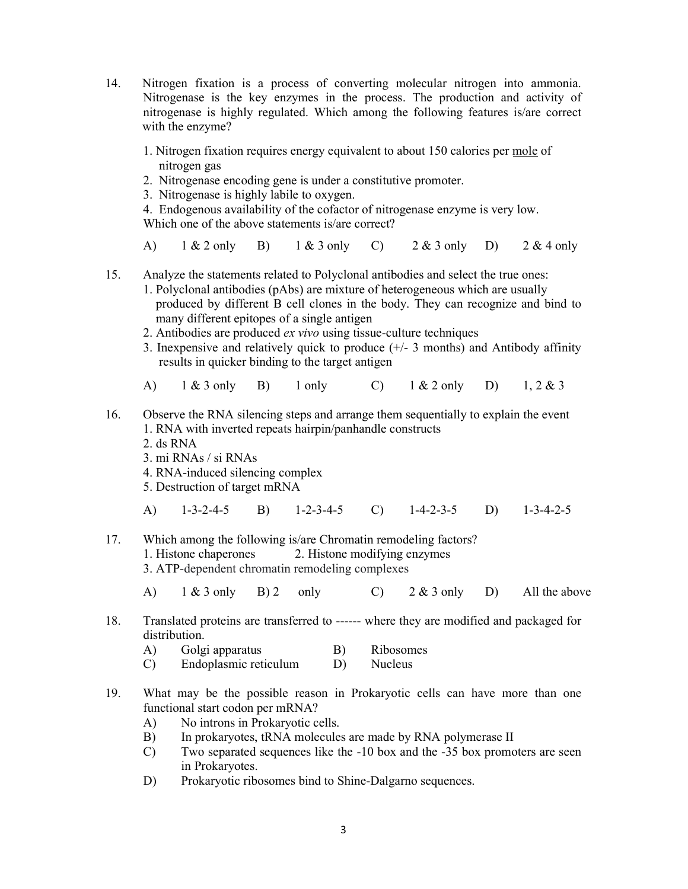- 14. Nitrogen fixation is a process of converting molecular nitrogen into ammonia. Nitrogenase is the key enzymes in the process. The production and activity of nitrogenase is highly regulated. Which among the following features is/are correct with the enzyme?
	- 1. Nitrogen fixation requires energy equivalent to about 150 calories per mole of nitrogen gas
	- 2. Nitrogenase encoding gene is under a constitutive promoter.
	- 3. Nitrogenase is highly labile to oxygen.

 4. Endogenous availability of the cofactor of nitrogenase enzyme is very low. Which one of the above statements is/are correct?

- A)  $1 \& 2 \text{ only } B$   $1 \& 3 \text{ only } C$   $2 \& 3 \text{ only } D$   $2 \& 4 \text{ only}$
- 15. Analyze the statements related to Polyclonal antibodies and select the true ones:
	- 1. Polyclonal antibodies (pAbs) are mixture of heterogeneous which are usually produced by different B cell clones in the body. They can recognize and bind to many different epitopes of a single antigen
	- 2. Antibodies are produced ex vivo using tissue-culture techniques
	- 3. Inexpensive and relatively quick to produce (+/- 3 months) and Antibody affinity results in quicker binding to the target antigen
	- A) 1 & 3 only B) 1 only C) 1 & 2 only D) 1, 2 & 3
- 16. Observe the RNA silencing steps and arrange them sequentially to explain the event 1. RNA with inverted repeats hairpin/panhandle constructs 2. ds RNA 3. mi RNAs / si RNAs 4. RNA-induced silencing complex 5. Destruction of target mRNA A) 1-3-2-4-5 B) 1-2-3-4-5 C) 1-4-2-3-5 D) 1-3-4-2-5 17. Which among the following is/are Chromatin remodeling factors? 1. Histone chaperones 2. Histone modifying enzymes 3. ATP-dependent chromatin remodeling complexes
	- A)  $1 \& 3$  only B) 2 only C)  $2 \& 3$  only D) All the above
- 18. Translated proteins are transferred to ------ where they are modified and packaged for distribution.
	- A) Golgi apparatus B) Ribosomes
	- C) Endoplasmic reticulum D) Nucleus
- 19. What may be the possible reason in Prokaryotic cells can have more than one functional start codon per mRNA?
	- A) No introns in Prokaryotic cells.
	- B) In prokaryotes, tRNA molecules are made by RNA polymerase II
	- C) Two separated sequences like the -10 box and the -35 box promoters are seen in Prokaryotes.
	- D) Prokaryotic ribosomes bind to Shine-Dalgarno sequences.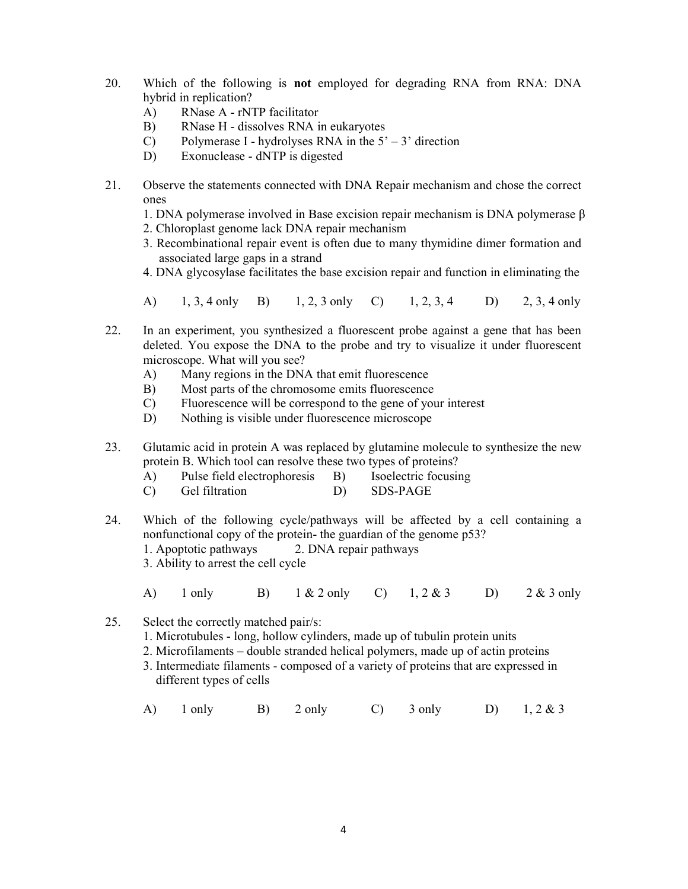- 20. Which of the following is not employed for degrading RNA from RNA: DNA hybrid in replication?
	- A) RNase A rNTP facilitator
	- B) RNase H dissolves RNA in eukaryotes
	- C) Polymerase I hydrolyses RNA in the  $5' 3'$  direction
	- D) Exonuclease dNTP is digested
- 21. Observe the statements connected with DNA Repair mechanism and chose the correct ones
	- 1. DNA polymerase involved in Base excision repair mechanism is DNA polymerase β
	- 2. Chloroplast genome lack DNA repair mechanism
	- 3. Recombinational repair event is often due to many thymidine dimer formation and associated large gaps in a strand
	- 4. DNA glycosylase facilitates the base excision repair and function in eliminating the
	- A) 1, 3, 4 only B) 1, 2, 3 only C) 1, 2, 3, 4 D) 2, 3, 4 only
- 22. In an experiment, you synthesized a fluorescent probe against a gene that has been deleted. You expose the DNA to the probe and try to visualize it under fluorescent microscope. What will you see?
	- A) Many regions in the DNA that emit fluorescence
	- B) Most parts of the chromosome emits fluorescence
	- C) Fluorescence will be correspond to the gene of your interest
	- D) Nothing is visible under fluorescence microscope
- 23. Glutamic acid in protein A was replaced by glutamine molecule to synthesize the new protein B. Which tool can resolve these two types of proteins?
	- A) Pulse field electrophoresis B) Isoelectric focusing
	- C) Gel filtration D) SDS-PAGE
- 24. Which of the following cycle/pathways will be affected by a cell containing a nonfunctional copy of the protein- the guardian of the genome p53? 1. Apoptotic pathways 2. DNA repair pathways 3. Ability to arrest the cell cycle
	- A) 1 only B) 1 & 2 only C) 1, 2 & 3 D) 2 & 3 only
- 25. Select the correctly matched pair/s:
	- 1. Microtubules long, hollow cylinders, made up of tubulin protein units
	- 2. Microfilaments double stranded helical polymers, made up of actin proteins
	- 3. Intermediate filaments composed of a variety of proteins that are expressed in different types of cells
- A) 1 only B) 2 only C) 3 only D) 1, 2 & 3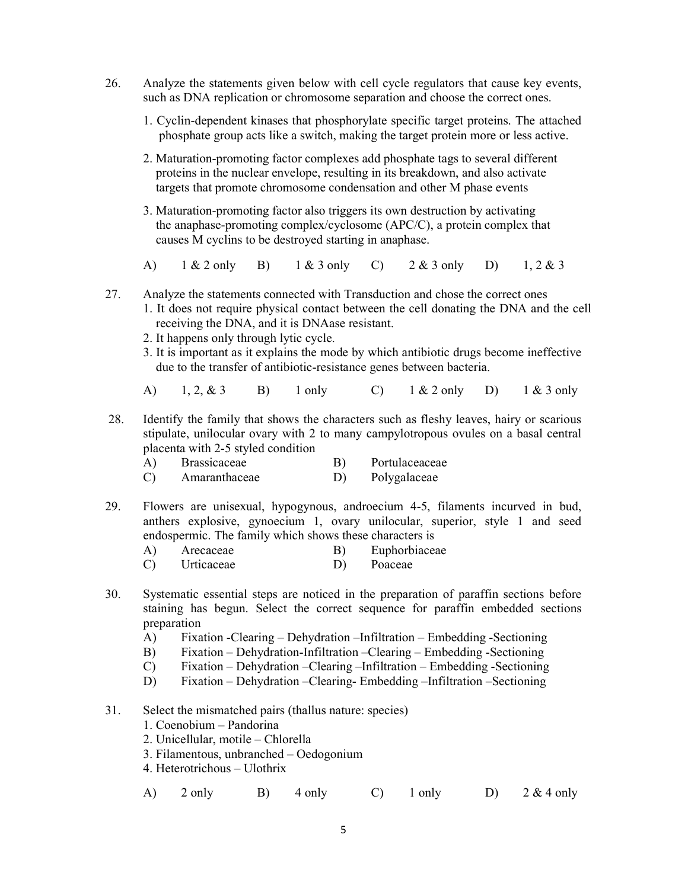- 26. Analyze the statements given below with cell cycle regulators that cause key events, such as DNA replication or chromosome separation and choose the correct ones.
	- 1. Cyclin-dependent kinases that phosphorylate specific target proteins. The attached phosphate group acts like a switch, making the target protein more or less active.
	- 2. Maturation-promoting factor complexes add phosphate tags to several different proteins in the nuclear envelope, resulting in its breakdown, and also activate targets that promote chromosome condensation and other M phase events
	- 3. Maturation-promoting factor also triggers its own destruction by activating the anaphase-promoting complex/cyclosome (APC/C), a protein complex that causes M cyclins to be destroyed starting in anaphase.

A) 1 & 2 only B) 1 & 3 only C) 2 & 3 only D) 1, 2 & 3

- 27. Analyze the statements connected with Transduction and chose the correct ones
	- 1. It does not require physical contact between the cell donating the DNA and the cell receiving the DNA, and it is DNAase resistant.
		- 2. It happens only through lytic cycle.
		- 3. It is important as it explains the mode by which antibiotic drugs become ineffective due to the transfer of antibiotic-resistance genes between bacteria.
		- A) 1, 2, & 3 B) 1 only C) 1 & 2 only D) 1 & 3 only
- 28. Identify the family that shows the characters such as fleshy leaves, hairy or scarious stipulate, unilocular ovary with 2 to many campylotropous ovules on a basal central placenta with 2-5 styled condition
	- A) Brassicaceae B) Portulaceaceae
	- C) Amaranthaceae D) Polygalaceae
- 29. Flowers are unisexual, hypogynous, androecium 4-5, filaments incurved in bud, anthers explosive, gynoecium 1, ovary unilocular, superior, style 1 and seed endospermic. The family which shows these characters is
	- A) Arecaceae B) Euphorbiaceae
		- C) Urticaceae D) Poaceae
- 30. Systematic essential steps are noticed in the preparation of paraffin sections before staining has begun. Select the correct sequence for paraffin embedded sections preparation
	- A) Fixation -Clearing Dehydration –Infiltration Embedding -Sectioning
	- B) Fixation Dehydration-Infiltration –Clearing Embedding -Sectioning
	- C) Fixation Dehydration –Clearing –Infiltration Embedding -Sectioning
	- D) Fixation Dehydration –Clearing- Embedding –Infiltration –Sectioning
- 31. Select the mismatched pairs (thallus nature: species)
	- 1. Coenobium Pandorina
	- 2. Unicellular, motile Chlorella
	- 3. Filamentous, unbranched Oedogonium
	- 4. Heterotrichous Ulothrix

A)  $2 \text{ only}$  B)  $4 \text{ only}$  C)  $1 \text{ only}$  D)  $2 \& 4 \text{ only}$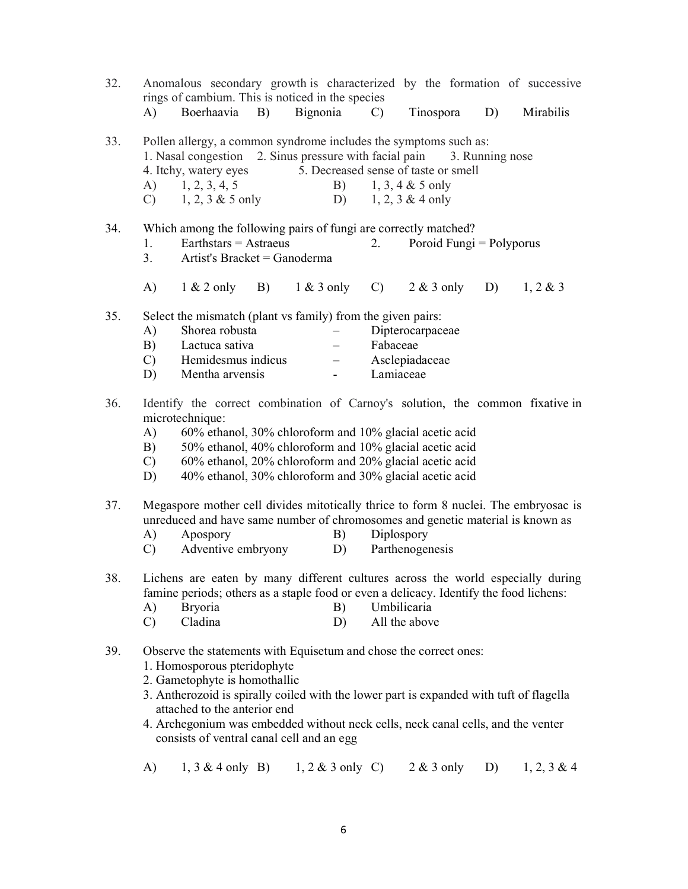| 32. |                                   | rings of cambium. This is noticed in the species                                                                                                                                                                                                                                                                                                                                              |    |              |                                                      |                       |                                                                                   |                 |    | Anomalous secondary growth is characterized by the formation of successive          |
|-----|-----------------------------------|-----------------------------------------------------------------------------------------------------------------------------------------------------------------------------------------------------------------------------------------------------------------------------------------------------------------------------------------------------------------------------------------------|----|--------------|------------------------------------------------------|-----------------------|-----------------------------------------------------------------------------------|-----------------|----|-------------------------------------------------------------------------------------|
|     | A)                                | Boerhaavia                                                                                                                                                                                                                                                                                                                                                                                    | B) | Bignonia     |                                                      | $\mathcal{C}$         | Tinospora                                                                         |                 | D) | Mirabilis                                                                           |
| 33. | A)<br>$\mathcal{C}$ )             | Pollen allergy, a common syndrome includes the symptoms such as:<br>1. Nasal congestion 2. Sinus pressure with facial pain<br>4. Itchy, watery eyes<br>1, 2, 3, 4, 5<br>$1, 2, 3 \& 5$ only                                                                                                                                                                                                   |    |              | B)<br>D)                                             |                       | 5. Decreased sense of taste or smell<br>$1, 3, 4 & 5$ only<br>$1, 2, 3 \& 4$ only | 3. Running nose |    |                                                                                     |
| 34. | 1.<br>3.                          | Which among the following pairs of fungi are correctly matched?<br>$Earthstars = Astraeus$<br>Artist's Bracket = Ganoderma                                                                                                                                                                                                                                                                    |    |              |                                                      | 2.                    | Poroid Fungi = Polyporus                                                          |                 |    |                                                                                     |
|     | A)                                | $1 \& 2$ only                                                                                                                                                                                                                                                                                                                                                                                 | B) | $1 & 3$ only |                                                      | $\mathcal{C}$ )       | $2 & 3$ only                                                                      |                 | D) | 1, 2 & 3                                                                            |
| 35. | A)<br>B)<br>$\mathcal{C}$<br>D)   | Select the mismatch (plant vs family) from the given pairs:<br>Shorea robusta<br>Lactuca sativa<br>Hemidesmus indicus<br>Mentha arvensis                                                                                                                                                                                                                                                      |    |              | $\overline{\phantom{0}}$<br>$\overline{\phantom{0}}$ | Fabaceae<br>Lamiaceae | Dipterocarpaceae<br>Asclepiadaceae                                                |                 |    |                                                                                     |
| 36. | A)<br>B)<br>$\mathcal{C}$ )<br>D) | microtechnique:<br>60% ethanol, 30% chloroform and 10% glacial acetic acid<br>50% ethanol, 40% chloroform and 10% glacial acetic acid<br>60% ethanol, 20% chloroform and 20% glacial acetic acid<br>40% ethanol, 30% chloroform and 30% glacial acetic acid                                                                                                                                   |    |              |                                                      |                       |                                                                                   |                 |    | Identify the correct combination of Carnoy's solution, the common fixative in       |
| 37. | A)<br>C)                          | unreduced and have same number of chromosomes and genetic material is known as<br>Apospory<br>Adventive embryony                                                                                                                                                                                                                                                                              |    |              | B)<br>D)                                             |                       | Diplospory<br>Parthenogenesis                                                     |                 |    | Megaspore mother cell divides mitotically thrice to form 8 nuclei. The embryosac is |
| 38. | A)<br>$\mathcal{C}$               | famine periods; others as a staple food or even a delicacy. Identify the food lichens:<br><b>Bryoria</b><br>Cladina                                                                                                                                                                                                                                                                           |    |              | B)<br>D)                                             |                       | Umbilicaria<br>All the above                                                      |                 |    | Lichens are eaten by many different cultures across the world especially during     |
| 39. |                                   | Observe the statements with Equisetum and chose the correct ones:<br>1. Homosporous pteridophyte<br>2. Gametophyte is homothallic<br>3. Antherozoid is spirally coiled with the lower part is expanded with tuft of flagella<br>attached to the anterior end<br>4. Archegonium was embedded without neck cells, neck canal cells, and the venter<br>consists of ventral canal cell and an egg |    |              |                                                      |                       |                                                                                   |                 |    |                                                                                     |
|     | A)                                | $1, 3 \& 4$ only B)                                                                                                                                                                                                                                                                                                                                                                           |    |              | $1, 2 \& 3$ only C)                                  |                       | $2 & 3$ only                                                                      |                 | D) | $1, 2, 3 \& 4$                                                                      |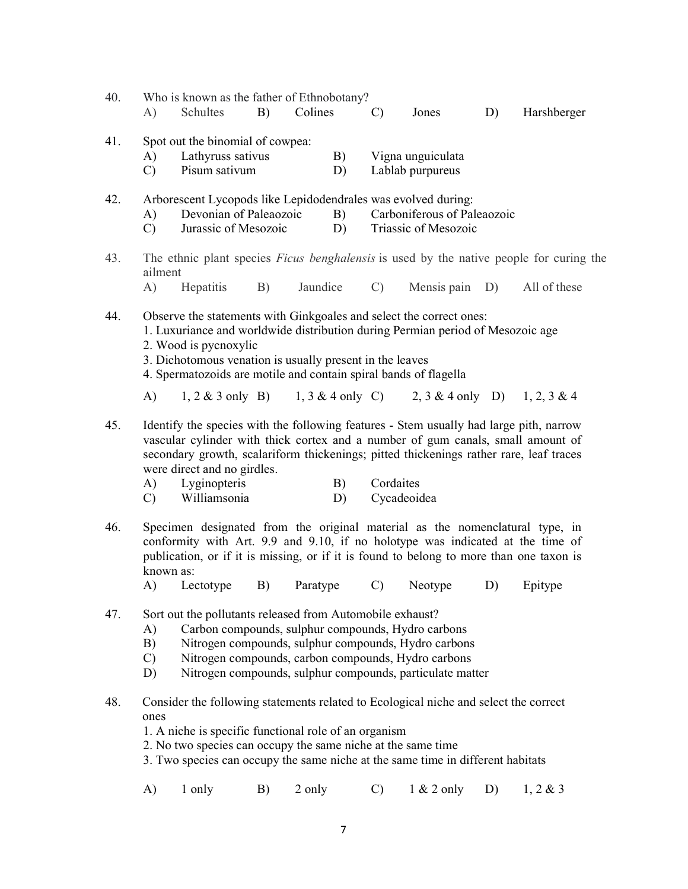| 40. | A)                                                                                                                                                                                                                                                                                                                             | Who is known as the father of Ethnobotany?<br>Schultes                                                                                                                                                                                                                                                                             | B) | Colines  |          | C)                       | Jones                                                          | D) | Harshberger                                                                                    |
|-----|--------------------------------------------------------------------------------------------------------------------------------------------------------------------------------------------------------------------------------------------------------------------------------------------------------------------------------|------------------------------------------------------------------------------------------------------------------------------------------------------------------------------------------------------------------------------------------------------------------------------------------------------------------------------------|----|----------|----------|--------------------------|----------------------------------------------------------------|----|------------------------------------------------------------------------------------------------|
| 41. | A)<br>$\mathcal{C}$                                                                                                                                                                                                                                                                                                            | Spot out the binomial of cowpea:<br>Lathyruss sativus<br>Pisum sativum                                                                                                                                                                                                                                                             |    |          | B)<br>D) |                          | Vigna unguiculata<br>Lablab purpureus                          |    |                                                                                                |
| 42. | A)<br>$\mathcal{C}$                                                                                                                                                                                                                                                                                                            | Arborescent Lycopods like Lepidodendrales was evolved during:<br>Devonian of Paleaozoic<br>Jurassic of Mesozoic                                                                                                                                                                                                                    |    |          | B)<br>D) |                          | Carboniferous of Paleaozoic<br>Triassic of Mesozoic            |    |                                                                                                |
| 43. | ailment                                                                                                                                                                                                                                                                                                                        |                                                                                                                                                                                                                                                                                                                                    |    |          |          |                          |                                                                |    | The ethnic plant species <i>Ficus benghalensis</i> is used by the native people for curing the |
|     | A)                                                                                                                                                                                                                                                                                                                             | Hepatitis                                                                                                                                                                                                                                                                                                                          | B) | Jaundice |          | $\mathcal{C}$ )          | Mensis pain D)                                                 |    | All of these                                                                                   |
| 44. |                                                                                                                                                                                                                                                                                                                                | Observe the statements with Ginkgoales and select the correct ones:<br>1. Luxuriance and worldwide distribution during Permian period of Mesozoic age<br>2. Wood is pycnoxylic<br>3. Dichotomous venation is usually present in the leaves<br>4. Spermatozoids are motile and contain spiral bands of flagella                     |    |          |          |                          |                                                                |    |                                                                                                |
|     | A)                                                                                                                                                                                                                                                                                                                             |                                                                                                                                                                                                                                                                                                                                    |    |          |          |                          | 1, 2 & 3 only B) 1, 3 & 4 only C) 2, 3 & 4 only D) 1, 2, 3 & 4 |    |                                                                                                |
| 45. | A)<br>$\mathcal{C}$                                                                                                                                                                                                                                                                                                            | Identify the species with the following features - Stem usually had large pith, narrow<br>vascular cylinder with thick cortex and a number of gum canals, small amount of<br>secondary growth, scalariform thickenings; pitted thickenings rather rare, leaf traces<br>were direct and no girdles.<br>Lyginopteris<br>Williamsonia |    |          | B)<br>D) | Cordaites<br>Cycadeoidea |                                                                |    |                                                                                                |
| 46. | known as:<br>$\bf{A}$                                                                                                                                                                                                                                                                                                          | Specimen designated from the original material as the nomenclatural type, in<br>conformity with Art. 9.9 and 9.10, if no holotype was indicated at the time of<br>publication, or if it is missing, or if it is found to belong to more than one taxon is<br>Lectotype                                                             | B) | Paratype |          | $\mathcal{C}$            | Neotype                                                        | D) | Epitype                                                                                        |
| 47. | Sort out the pollutants released from Automobile exhaust?<br>Carbon compounds, sulphur compounds, Hydro carbons<br>A)<br>Nitrogen compounds, sulphur compounds, Hydro carbons<br>B)<br>Nitrogen compounds, carbon compounds, Hydro carbons<br>$\mathcal{C}$<br>Nitrogen compounds, sulphur compounds, particulate matter<br>D) |                                                                                                                                                                                                                                                                                                                                    |    |          |          |                          |                                                                |    |                                                                                                |
| 48. | ones                                                                                                                                                                                                                                                                                                                           | Consider the following statements related to Ecological niche and select the correct<br>1. A niche is specific functional role of an organism<br>2. No two species can occupy the same niche at the same time<br>3. Two species can occupy the same niche at the same time in different habitats                                   |    |          |          |                          |                                                                |    |                                                                                                |
|     | A)                                                                                                                                                                                                                                                                                                                             | 1 only                                                                                                                                                                                                                                                                                                                             | B) | 2 only   |          | C)                       | $1 & 2$ only                                                   | D) | 1, 2 & 3                                                                                       |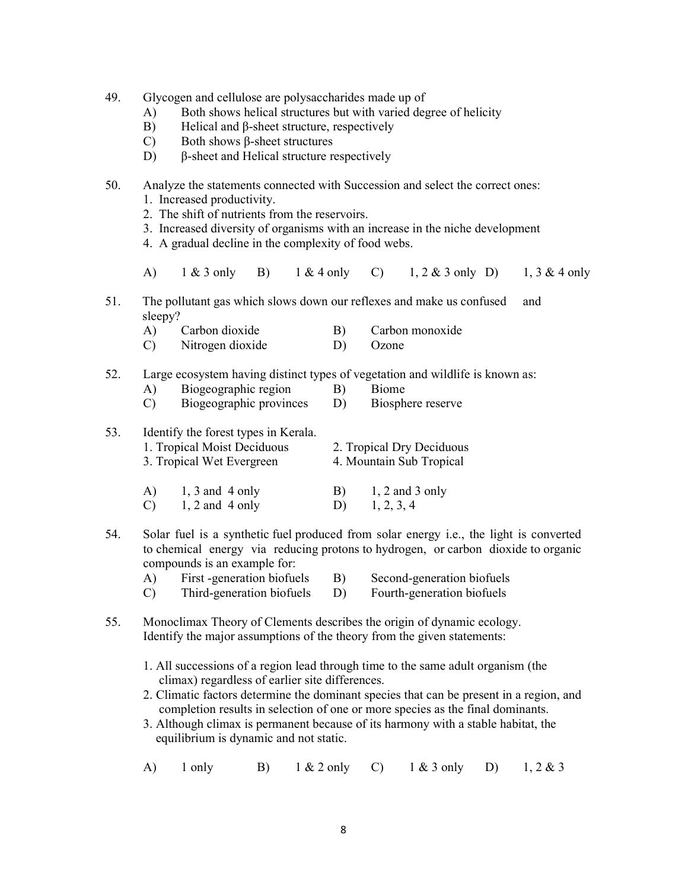- 49. Glycogen and cellulose are polysaccharides made up of
	- A) Both shows helical structures but with varied degree of helicity
	- B) Helical and β-sheet structure, respectively
	- C) Both shows β-sheet structures
	- D) β-sheet and Helical structure respectively
- 50. Analyze the statements connected with Succession and select the correct ones: 1. Increased productivity.
	- 2. The shift of nutrients from the reservoirs.
	- 3. Increased diversity of organisms with an increase in the niche development
	- 4. A gradual decline in the complexity of food webs.
	- A) 1 & 3 only B) 1 & 4 only C) 1, 2 & 3 only D) 1, 3 & 4 only
- 51. The pollutant gas which slows down our reflexes and make us confused and sleepy?
	- A) Carbon dioxide B) Carbon monoxide C) Nitrogen dioxide D) Ozone
- 52. Large ecosystem having distinct types of vegetation and wildlife is known as:
	- A) Biogeographic region B) Biome
	- C) Biogeographic provinces D) Biosphere reserve

| 53. |                     | Identify the forest types in Kerala.<br>1. Tropical Moist Deciduous<br>3. Tropical Wet Evergreen | 2. Tropical Dry Deciduous<br>4. Mountain Sub Tropical |                                 |  |  |
|-----|---------------------|--------------------------------------------------------------------------------------------------|-------------------------------------------------------|---------------------------------|--|--|
|     | A)<br>$\mathcal{C}$ | $1, 3$ and 4 only<br>$1, 2$ and 4 only                                                           | B)                                                    | $1, 2$ and 3 only<br>1, 2, 3, 4 |  |  |

54. Solar fuel is a synthetic fuel produced from solar energy i.e., the light is converted to chemical energy via reducing protons to hydrogen, or carbon dioxide to organic compounds is an example for:

| First -generation biofuels |    | Second-generation biofuels |
|----------------------------|----|----------------------------|
| Third-generation biofuels  | D) | Fourth-generation biofuels |

- 55. Monoclimax Theory of Clements describes the origin of dynamic ecology. Identify the major assumptions of the theory from the given statements:
	- 1. All successions of a region lead through time to the same adult organism (the climax) regardless of earlier site differences.
	- 2. Climatic factors determine the dominant species that can be present in a region, and completion results in selection of one or more species as the final dominants.
	- 3. Although climax is permanent because of its harmony with a stable habitat, the equilibrium is dynamic and not static.
	- A) 1 only B) 1 & 2 only C) 1 & 3 only D) 1, 2 & 3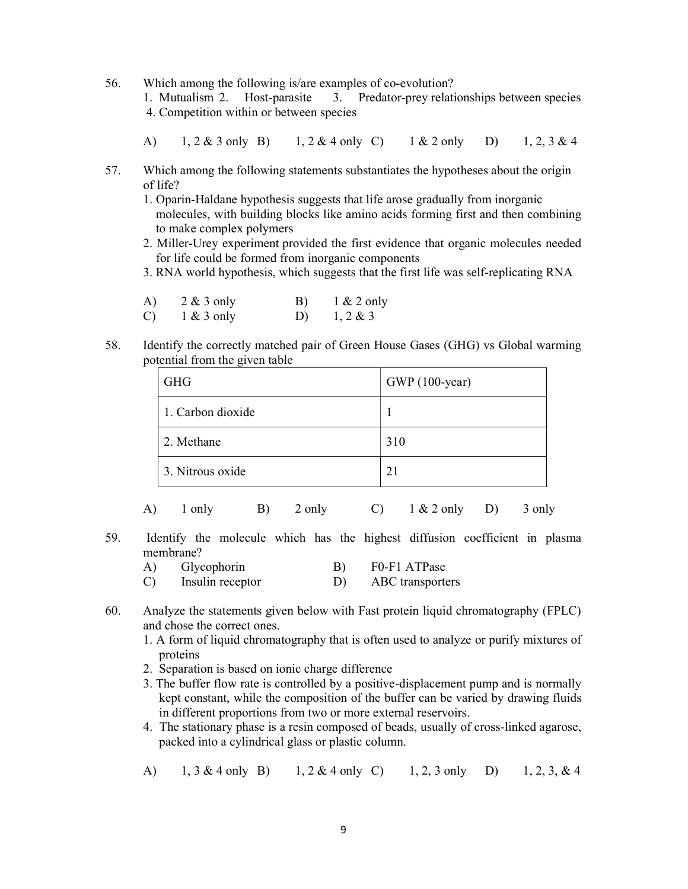56. Which among the following is/are examples of co-evolution? 1. Mutualism 2. Host-parasite 3. Predator-prey relationships between species 4. Competition within or between species

- A) 1, 2 & 3 only B) 1, 2 & 4 only C) 1 & 2 only D) 1, 2, 3 & 4
- 57. Which among the following statements substantiates the hypotheses about the origin of life?
	- 1. Oparin-Haldane hypothesis suggests that life arose gradually from inorganic molecules, with building blocks like amino acids forming first and then combining to make complex polymers
	- 2. Miller-Urey experiment provided the first evidence that organic molecules needed for life could be formed from inorganic components
	- 3. RNA world hypothesis, which suggests that the first life was self-replicating RNA

| A) | $2 & 3$ only | B) | $1 & 2$ only |
|----|--------------|----|--------------|
| C) | $1 & 3$ only | D) | $1, 2 \& 3$  |

58. Identify the correctly matched pair of Green House Gases (GHG) vs Global warming potential from the given table

| <b>GHG</b>        | GWP (100-year) |
|-------------------|----------------|
| 1. Carbon dioxide |                |
| 2. Methane        | 310            |
| 3. Nitrous oxide  | 21             |

- A)  $1 \text{ only}$  B)  $2 \text{ only}$  C)  $1 \& 2 \text{ only}$  D)  $3 \text{ only}$
- 59. Identify the molecule which has the highest diffusion coefficient in plasma membrane?

| Glycophorin      |  | F0-F1 ATPase     |
|------------------|--|------------------|
| Insulin receptor |  | ABC transporters |

- 60. Analyze the statements given below with Fast protein liquid chromatography (FPLC) and chose the correct ones.
	- 1. A form of liquid chromatography that is often used to analyze or purify mixtures of proteins
	- 2. Separation is based on ionic charge difference
	- 3. The buffer flow rate is controlled by a positive-displacement pump and is normally kept constant, while the composition of the buffer can be varied by drawing fluids in different proportions from two or more external reservoirs.
	- 4. The stationary phase is a resin composed of beads, usually of cross-linked agarose, packed into a cylindrical glass or plastic column.
	- A) 1, 3 & 4 only B) 1, 2 & 4 only C) 1, 2, 3 only D) 1, 2, 3, & 4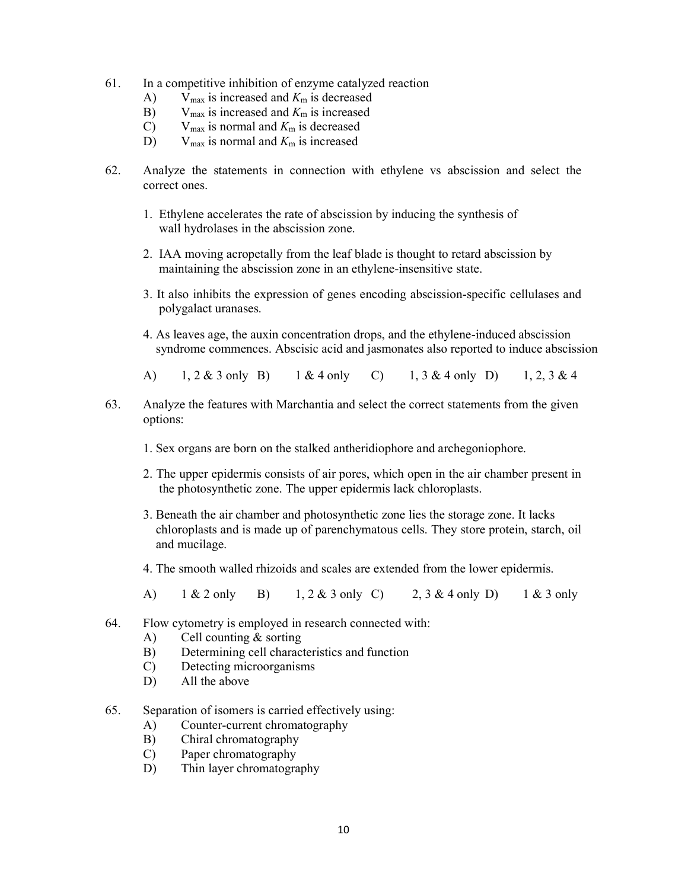- 61. In a competitive inhibition of enzyme catalyzed reaction
	- A) V<sub>max</sub> is increased and  $K<sub>m</sub>$  is decreased
	- B)  $V_{\text{max}}$  is increased and  $K_{\text{m}}$  is increased
	- C) V<sub>max</sub> is normal and  $K<sub>m</sub>$  is decreased
	- D) V<sub>max</sub> is normal and  $K<sub>m</sub>$  is increased
- 62. Analyze the statements in connection with ethylene vs abscission and select the correct ones.
	- 1. Ethylene accelerates the rate of abscission by inducing the synthesis of wall hydrolases in the abscission zone.
	- 2. IAA moving acropetally from the leaf blade is thought to retard abscission by maintaining the abscission zone in an ethylene-insensitive state.
	- 3. It also inhibits the expression of genes encoding abscission-specific cellulases and polygalact uranases.
	- 4. As leaves age, the auxin concentration drops, and the ethylene-induced abscission syndrome commences. Abscisic acid and jasmonates also reported to induce abscission
	- A) 1, 2 & 3 only B) 1 & 4 only C) 1, 3 & 4 only D) 1, 2, 3 & 4
- 63. Analyze the features with Marchantia and select the correct statements from the given options:
	- 1. Sex organs are born on the stalked antheridiophore and archegoniophore.
	- 2. The upper epidermis consists of air pores, which open in the air chamber present in the photosynthetic zone. The upper epidermis lack chloroplasts.
	- 3. Beneath the air chamber and photosynthetic zone lies the storage zone. It lacks chloroplasts and is made up of parenchymatous cells. They store protein, starch, oil and mucilage.
	- 4. The smooth walled rhizoids and scales are extended from the lower epidermis.
	- A) 1 & 2 only B) 1, 2 & 3 only C) 2, 3 & 4 only D) 1 & 3 only
- 64. Flow cytometry is employed in research connected with:
	- A) Cell counting & sorting
	- B) Determining cell characteristics and function
	- C) Detecting microorganisms
	- D) All the above
- 65. Separation of isomers is carried effectively using:
	- A) Counter-current chromatography
	- B) Chiral chromatography
	- C) Paper chromatography
	- D) Thin layer chromatography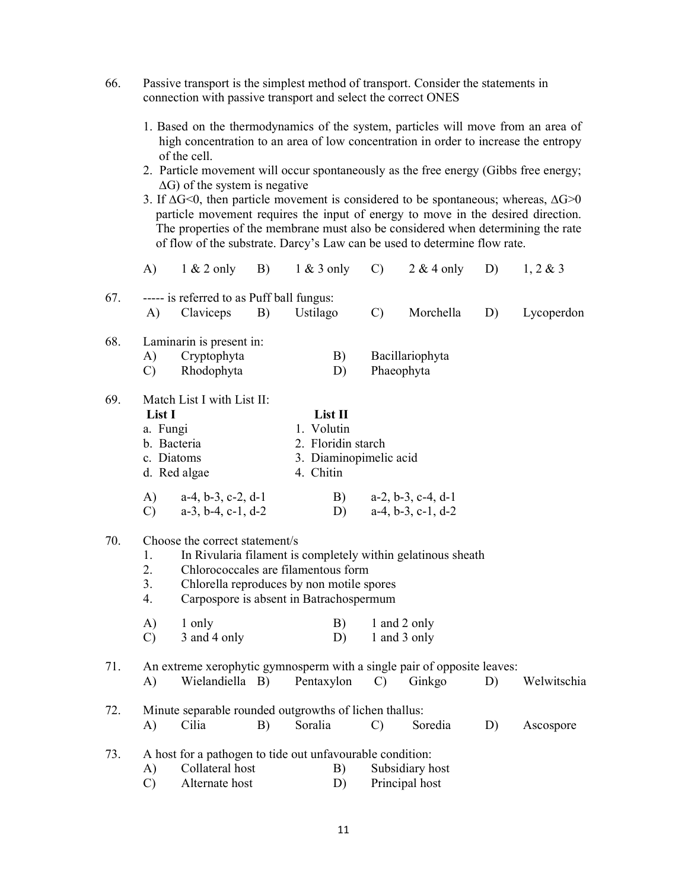- 66. Passive transport is the simplest method of transport. Consider the statements in connection with passive transport and select the correct ONES
	- 1. Based on the thermodynamics of the system, particles will move from an area of high concentration to an area of low concentration in order to increase the entropy of the cell.
	- 2. Particle movement will occur spontaneously as the free energy (Gibbs free energy; ∆G) of the system is negative
	- 3. If ∆G<0, then particle movement is considered to be spontaneous; whereas, ∆G>0 particle movement requires the input of energy to move in the desired direction. The properties of the membrane must also be considered when determining the rate of flow of the substrate. Darcy's Law can be used to determine flow rate.

|     | A)                                                                 | $1 & 2$ only                                  | B) | $1 & 3$ only                                           | $\mathcal{C}$ | $2 & 4$ only                                                            | D) | 1, 2 & 3    |  |  |
|-----|--------------------------------------------------------------------|-----------------------------------------------|----|--------------------------------------------------------|---------------|-------------------------------------------------------------------------|----|-------------|--|--|
| 67. |                                                                    | ----- is referred to as Puff ball fungus:     |    |                                                        |               |                                                                         |    |             |  |  |
|     | A)                                                                 | Claviceps                                     | B) | Ustilago                                               | $\mathcal{C}$ | Morchella                                                               | D) | Lycoperdon  |  |  |
| 68. |                                                                    | Laminarin is present in:                      |    |                                                        |               |                                                                         |    |             |  |  |
|     | A)                                                                 | Cryptophyta                                   | B) | Bacillariophyta                                        |               |                                                                         |    |             |  |  |
|     | $\mathcal{C}$                                                      | Rhodophyta                                    |    | D)                                                     |               | Phaeophyta                                                              |    |             |  |  |
| 69. |                                                                    | Match List I with List II:                    |    |                                                        |               |                                                                         |    |             |  |  |
|     | List I                                                             |                                               |    | List II                                                |               |                                                                         |    |             |  |  |
|     | a. Fungi                                                           |                                               |    | 1. Volutin                                             |               |                                                                         |    |             |  |  |
|     |                                                                    | b. Bacteria                                   |    | 2. Floridin starch                                     |               |                                                                         |    |             |  |  |
|     | c. Diatoms<br>d. Red algae                                         |                                               |    | 3. Diaminopimelic acid<br>4. Chitin                    |               |                                                                         |    |             |  |  |
|     |                                                                    |                                               |    |                                                        |               |                                                                         |    |             |  |  |
|     | A)                                                                 | $a-4$ , $b-3$ , $c-2$ , $d-1$                 |    | B)                                                     |               | $a-2$ , $b-3$ , $c-4$ , $d-1$                                           |    |             |  |  |
|     | $\mathcal{C}$                                                      | $a-3$ , $b-4$ , $c-1$ , $d-2$                 |    | D)                                                     |               | $a-4, b-3, c-1, d-2$                                                    |    |             |  |  |
| 70. | Choose the correct statement/s                                     |                                               |    |                                                        |               |                                                                         |    |             |  |  |
|     | In Rivularia filament is completely within gelatinous sheath<br>1. |                                               |    |                                                        |               |                                                                         |    |             |  |  |
|     | 2.                                                                 | Chlorococcales are filamentous form           |    |                                                        |               |                                                                         |    |             |  |  |
|     | 3.                                                                 | Chlorella reproduces by non motile spores     |    |                                                        |               |                                                                         |    |             |  |  |
|     |                                                                    | 4.<br>Carpospore is absent in Batrachospermum |    |                                                        |               |                                                                         |    |             |  |  |
|     | A)                                                                 | 1 only                                        |    | B)                                                     | 1 and 2 only  |                                                                         |    |             |  |  |
|     | $\mathcal{C}$                                                      | 3 and 4 only                                  |    | D)                                                     |               | 1 and 3 only                                                            |    |             |  |  |
| 71. |                                                                    |                                               |    |                                                        |               | An extreme xerophytic gymnosperm with a single pair of opposite leaves: |    |             |  |  |
|     | A)                                                                 | Wielandiella B)                               |    | Pentaxylon                                             | $\mathcal{C}$ | Ginkgo                                                                  | D) | Welwitschia |  |  |
| 72. |                                                                    |                                               |    | Minute separable rounded outgrowths of lichen thallus: |               |                                                                         |    |             |  |  |
|     | A)                                                                 | Cilia                                         | B) | Soralia                                                | $\mathcal{C}$ | Soredia                                                                 | D) | Ascospore   |  |  |
| 73. | A host for a pathogen to tide out unfavourable condition:          |                                               |    |                                                        |               |                                                                         |    |             |  |  |
|     |                                                                    |                                               |    |                                                        |               |                                                                         |    |             |  |  |
|     | $\mathbf{A}$                                                       | Collateral host                               |    | B)                                                     |               | Subsidiary host                                                         |    |             |  |  |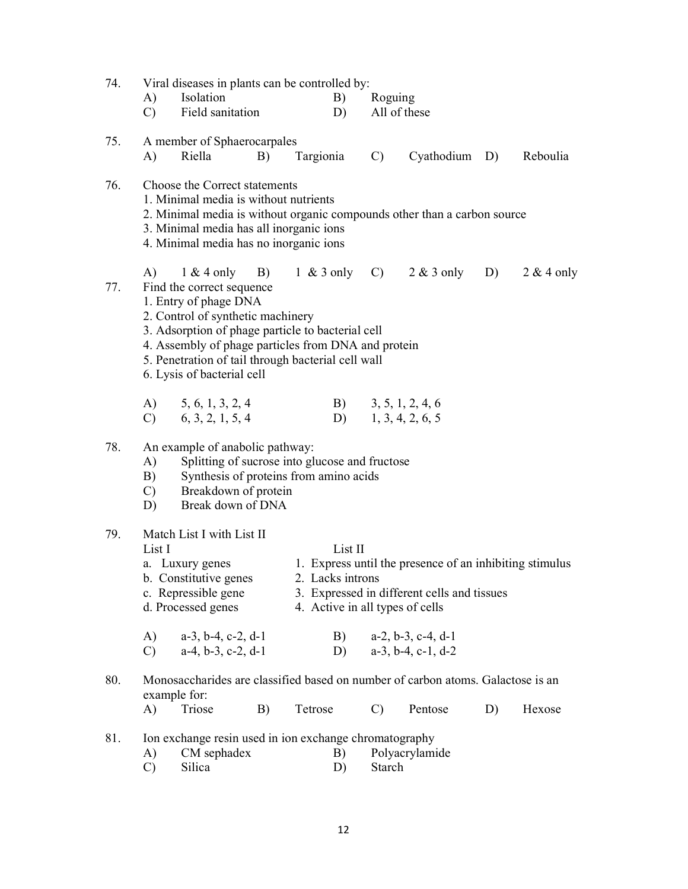| Isolation<br>A)<br>B)<br>Roguing<br>Field sanitation<br>All of these<br>$\mathcal{C}$<br>D)<br>75.<br>A member of Sphaerocarpales<br>Riella<br>Targionia<br>$\mathbf{C}$ )<br>Cyathodium D)<br>Reboulia<br>A)<br>B)<br>76.<br>Choose the Correct statements<br>1. Minimal media is without nutrients<br>2. Minimal media is without organic compounds other than a carbon source<br>3. Minimal media has all inorganic ions<br>4. Minimal media has no inorganic ions<br>A)<br>$1 \& 4$ only B)<br>$1 \& 3$ only C) $2 \& 3$ only D)<br>$2 & 4$ only<br>77.<br>Find the correct sequence<br>1. Entry of phage DNA<br>2. Control of synthetic machinery<br>3. Adsorption of phage particle to bacterial cell<br>4. Assembly of phage particles from DNA and protein<br>5. Penetration of tail through bacterial cell wall<br>6. Lysis of bacterial cell<br>A) $5, 6, 1, 3, 2, 4$<br>B) $3, 5, 1, 2, 4, 6$<br>$D)$ 1, 3, 4, 2, 6, 5<br>$C)$ 6, 3, 2, 1, 5, 4<br>78.<br>An example of anabolic pathway:<br>Splitting of sucrose into glucose and fructose<br>A)<br>Synthesis of proteins from amino acids<br>B)<br>Breakdown of protein<br>$\mathcal{C}$ )<br>Break down of DNA<br>D)<br>79.<br>Match List I with List II<br>List II<br>List I<br>1. Express until the presence of an inhibiting stimulus<br>a. Luxury genes<br>b. Constitutive genes<br>2. Lacks introns<br>3. Expressed in different cells and tissues<br>c. Repressible gene<br>d. Processed genes<br>4. Active in all types of cells<br>$a-3$ , $b-4$ , $c-2$ , $d-1$<br>$a-2$ , $b-3$ , $c-4$ , $d-1$<br>A)<br>B)<br>$a-4$ , $b-3$ , $c-2$ , $d-1$<br>$a-3$ , $b-4$ , $c-1$ , $d-2$<br>$\mathcal{C}$<br>D)<br>Monosaccharides are classified based on number of carbon atoms. Galactose is an<br>80.<br>example for:<br>Triose<br>A)<br>Tetrose<br>Pentose<br>Hexose<br>B)<br>$\mathcal{C}$<br>D)<br>81.<br>Ion exchange resin used in ion exchange chromatography<br>CM sephadex<br>B)<br>Polyacrylamide<br>A)<br>Starch | 74. | Viral diseases in plants can be controlled by: |        |  |  |    |  |  |  |  |  |  |
|---------------------------------------------------------------------------------------------------------------------------------------------------------------------------------------------------------------------------------------------------------------------------------------------------------------------------------------------------------------------------------------------------------------------------------------------------------------------------------------------------------------------------------------------------------------------------------------------------------------------------------------------------------------------------------------------------------------------------------------------------------------------------------------------------------------------------------------------------------------------------------------------------------------------------------------------------------------------------------------------------------------------------------------------------------------------------------------------------------------------------------------------------------------------------------------------------------------------------------------------------------------------------------------------------------------------------------------------------------------------------------------------------------------------------------------------------------------------------------------------------------------------------------------------------------------------------------------------------------------------------------------------------------------------------------------------------------------------------------------------------------------------------------------------------------------------------------------------------------------------------------------------------------------------------------------------------------------------------------------------|-----|------------------------------------------------|--------|--|--|----|--|--|--|--|--|--|
|                                                                                                                                                                                                                                                                                                                                                                                                                                                                                                                                                                                                                                                                                                                                                                                                                                                                                                                                                                                                                                                                                                                                                                                                                                                                                                                                                                                                                                                                                                                                                                                                                                                                                                                                                                                                                                                                                                                                                                                             |     |                                                |        |  |  |    |  |  |  |  |  |  |
|                                                                                                                                                                                                                                                                                                                                                                                                                                                                                                                                                                                                                                                                                                                                                                                                                                                                                                                                                                                                                                                                                                                                                                                                                                                                                                                                                                                                                                                                                                                                                                                                                                                                                                                                                                                                                                                                                                                                                                                             |     |                                                |        |  |  |    |  |  |  |  |  |  |
|                                                                                                                                                                                                                                                                                                                                                                                                                                                                                                                                                                                                                                                                                                                                                                                                                                                                                                                                                                                                                                                                                                                                                                                                                                                                                                                                                                                                                                                                                                                                                                                                                                                                                                                                                                                                                                                                                                                                                                                             |     |                                                |        |  |  |    |  |  |  |  |  |  |
|                                                                                                                                                                                                                                                                                                                                                                                                                                                                                                                                                                                                                                                                                                                                                                                                                                                                                                                                                                                                                                                                                                                                                                                                                                                                                                                                                                                                                                                                                                                                                                                                                                                                                                                                                                                                                                                                                                                                                                                             |     |                                                |        |  |  |    |  |  |  |  |  |  |
|                                                                                                                                                                                                                                                                                                                                                                                                                                                                                                                                                                                                                                                                                                                                                                                                                                                                                                                                                                                                                                                                                                                                                                                                                                                                                                                                                                                                                                                                                                                                                                                                                                                                                                                                                                                                                                                                                                                                                                                             |     |                                                |        |  |  |    |  |  |  |  |  |  |
|                                                                                                                                                                                                                                                                                                                                                                                                                                                                                                                                                                                                                                                                                                                                                                                                                                                                                                                                                                                                                                                                                                                                                                                                                                                                                                                                                                                                                                                                                                                                                                                                                                                                                                                                                                                                                                                                                                                                                                                             |     |                                                |        |  |  |    |  |  |  |  |  |  |
|                                                                                                                                                                                                                                                                                                                                                                                                                                                                                                                                                                                                                                                                                                                                                                                                                                                                                                                                                                                                                                                                                                                                                                                                                                                                                                                                                                                                                                                                                                                                                                                                                                                                                                                                                                                                                                                                                                                                                                                             |     |                                                |        |  |  |    |  |  |  |  |  |  |
|                                                                                                                                                                                                                                                                                                                                                                                                                                                                                                                                                                                                                                                                                                                                                                                                                                                                                                                                                                                                                                                                                                                                                                                                                                                                                                                                                                                                                                                                                                                                                                                                                                                                                                                                                                                                                                                                                                                                                                                             |     |                                                |        |  |  |    |  |  |  |  |  |  |
|                                                                                                                                                                                                                                                                                                                                                                                                                                                                                                                                                                                                                                                                                                                                                                                                                                                                                                                                                                                                                                                                                                                                                                                                                                                                                                                                                                                                                                                                                                                                                                                                                                                                                                                                                                                                                                                                                                                                                                                             |     |                                                |        |  |  |    |  |  |  |  |  |  |
|                                                                                                                                                                                                                                                                                                                                                                                                                                                                                                                                                                                                                                                                                                                                                                                                                                                                                                                                                                                                                                                                                                                                                                                                                                                                                                                                                                                                                                                                                                                                                                                                                                                                                                                                                                                                                                                                                                                                                                                             |     |                                                |        |  |  |    |  |  |  |  |  |  |
|                                                                                                                                                                                                                                                                                                                                                                                                                                                                                                                                                                                                                                                                                                                                                                                                                                                                                                                                                                                                                                                                                                                                                                                                                                                                                                                                                                                                                                                                                                                                                                                                                                                                                                                                                                                                                                                                                                                                                                                             |     |                                                |        |  |  |    |  |  |  |  |  |  |
|                                                                                                                                                                                                                                                                                                                                                                                                                                                                                                                                                                                                                                                                                                                                                                                                                                                                                                                                                                                                                                                                                                                                                                                                                                                                                                                                                                                                                                                                                                                                                                                                                                                                                                                                                                                                                                                                                                                                                                                             |     |                                                |        |  |  |    |  |  |  |  |  |  |
|                                                                                                                                                                                                                                                                                                                                                                                                                                                                                                                                                                                                                                                                                                                                                                                                                                                                                                                                                                                                                                                                                                                                                                                                                                                                                                                                                                                                                                                                                                                                                                                                                                                                                                                                                                                                                                                                                                                                                                                             |     |                                                |        |  |  |    |  |  |  |  |  |  |
|                                                                                                                                                                                                                                                                                                                                                                                                                                                                                                                                                                                                                                                                                                                                                                                                                                                                                                                                                                                                                                                                                                                                                                                                                                                                                                                                                                                                                                                                                                                                                                                                                                                                                                                                                                                                                                                                                                                                                                                             |     |                                                |        |  |  |    |  |  |  |  |  |  |
|                                                                                                                                                                                                                                                                                                                                                                                                                                                                                                                                                                                                                                                                                                                                                                                                                                                                                                                                                                                                                                                                                                                                                                                                                                                                                                                                                                                                                                                                                                                                                                                                                                                                                                                                                                                                                                                                                                                                                                                             |     |                                                |        |  |  |    |  |  |  |  |  |  |
|                                                                                                                                                                                                                                                                                                                                                                                                                                                                                                                                                                                                                                                                                                                                                                                                                                                                                                                                                                                                                                                                                                                                                                                                                                                                                                                                                                                                                                                                                                                                                                                                                                                                                                                                                                                                                                                                                                                                                                                             |     |                                                |        |  |  |    |  |  |  |  |  |  |
|                                                                                                                                                                                                                                                                                                                                                                                                                                                                                                                                                                                                                                                                                                                                                                                                                                                                                                                                                                                                                                                                                                                                                                                                                                                                                                                                                                                                                                                                                                                                                                                                                                                                                                                                                                                                                                                                                                                                                                                             |     |                                                |        |  |  |    |  |  |  |  |  |  |
|                                                                                                                                                                                                                                                                                                                                                                                                                                                                                                                                                                                                                                                                                                                                                                                                                                                                                                                                                                                                                                                                                                                                                                                                                                                                                                                                                                                                                                                                                                                                                                                                                                                                                                                                                                                                                                                                                                                                                                                             |     |                                                |        |  |  |    |  |  |  |  |  |  |
|                                                                                                                                                                                                                                                                                                                                                                                                                                                                                                                                                                                                                                                                                                                                                                                                                                                                                                                                                                                                                                                                                                                                                                                                                                                                                                                                                                                                                                                                                                                                                                                                                                                                                                                                                                                                                                                                                                                                                                                             |     |                                                |        |  |  |    |  |  |  |  |  |  |
|                                                                                                                                                                                                                                                                                                                                                                                                                                                                                                                                                                                                                                                                                                                                                                                                                                                                                                                                                                                                                                                                                                                                                                                                                                                                                                                                                                                                                                                                                                                                                                                                                                                                                                                                                                                                                                                                                                                                                                                             |     |                                                |        |  |  |    |  |  |  |  |  |  |
|                                                                                                                                                                                                                                                                                                                                                                                                                                                                                                                                                                                                                                                                                                                                                                                                                                                                                                                                                                                                                                                                                                                                                                                                                                                                                                                                                                                                                                                                                                                                                                                                                                                                                                                                                                                                                                                                                                                                                                                             |     |                                                |        |  |  |    |  |  |  |  |  |  |
|                                                                                                                                                                                                                                                                                                                                                                                                                                                                                                                                                                                                                                                                                                                                                                                                                                                                                                                                                                                                                                                                                                                                                                                                                                                                                                                                                                                                                                                                                                                                                                                                                                                                                                                                                                                                                                                                                                                                                                                             |     |                                                |        |  |  |    |  |  |  |  |  |  |
|                                                                                                                                                                                                                                                                                                                                                                                                                                                                                                                                                                                                                                                                                                                                                                                                                                                                                                                                                                                                                                                                                                                                                                                                                                                                                                                                                                                                                                                                                                                                                                                                                                                                                                                                                                                                                                                                                                                                                                                             |     |                                                |        |  |  |    |  |  |  |  |  |  |
|                                                                                                                                                                                                                                                                                                                                                                                                                                                                                                                                                                                                                                                                                                                                                                                                                                                                                                                                                                                                                                                                                                                                                                                                                                                                                                                                                                                                                                                                                                                                                                                                                                                                                                                                                                                                                                                                                                                                                                                             |     |                                                |        |  |  |    |  |  |  |  |  |  |
|                                                                                                                                                                                                                                                                                                                                                                                                                                                                                                                                                                                                                                                                                                                                                                                                                                                                                                                                                                                                                                                                                                                                                                                                                                                                                                                                                                                                                                                                                                                                                                                                                                                                                                                                                                                                                                                                                                                                                                                             |     |                                                |        |  |  |    |  |  |  |  |  |  |
|                                                                                                                                                                                                                                                                                                                                                                                                                                                                                                                                                                                                                                                                                                                                                                                                                                                                                                                                                                                                                                                                                                                                                                                                                                                                                                                                                                                                                                                                                                                                                                                                                                                                                                                                                                                                                                                                                                                                                                                             |     |                                                |        |  |  |    |  |  |  |  |  |  |
|                                                                                                                                                                                                                                                                                                                                                                                                                                                                                                                                                                                                                                                                                                                                                                                                                                                                                                                                                                                                                                                                                                                                                                                                                                                                                                                                                                                                                                                                                                                                                                                                                                                                                                                                                                                                                                                                                                                                                                                             |     |                                                |        |  |  |    |  |  |  |  |  |  |
|                                                                                                                                                                                                                                                                                                                                                                                                                                                                                                                                                                                                                                                                                                                                                                                                                                                                                                                                                                                                                                                                                                                                                                                                                                                                                                                                                                                                                                                                                                                                                                                                                                                                                                                                                                                                                                                                                                                                                                                             |     |                                                |        |  |  |    |  |  |  |  |  |  |
|                                                                                                                                                                                                                                                                                                                                                                                                                                                                                                                                                                                                                                                                                                                                                                                                                                                                                                                                                                                                                                                                                                                                                                                                                                                                                                                                                                                                                                                                                                                                                                                                                                                                                                                                                                                                                                                                                                                                                                                             |     |                                                |        |  |  |    |  |  |  |  |  |  |
|                                                                                                                                                                                                                                                                                                                                                                                                                                                                                                                                                                                                                                                                                                                                                                                                                                                                                                                                                                                                                                                                                                                                                                                                                                                                                                                                                                                                                                                                                                                                                                                                                                                                                                                                                                                                                                                                                                                                                                                             |     |                                                |        |  |  |    |  |  |  |  |  |  |
|                                                                                                                                                                                                                                                                                                                                                                                                                                                                                                                                                                                                                                                                                                                                                                                                                                                                                                                                                                                                                                                                                                                                                                                                                                                                                                                                                                                                                                                                                                                                                                                                                                                                                                                                                                                                                                                                                                                                                                                             |     |                                                |        |  |  |    |  |  |  |  |  |  |
|                                                                                                                                                                                                                                                                                                                                                                                                                                                                                                                                                                                                                                                                                                                                                                                                                                                                                                                                                                                                                                                                                                                                                                                                                                                                                                                                                                                                                                                                                                                                                                                                                                                                                                                                                                                                                                                                                                                                                                                             |     |                                                |        |  |  |    |  |  |  |  |  |  |
|                                                                                                                                                                                                                                                                                                                                                                                                                                                                                                                                                                                                                                                                                                                                                                                                                                                                                                                                                                                                                                                                                                                                                                                                                                                                                                                                                                                                                                                                                                                                                                                                                                                                                                                                                                                                                                                                                                                                                                                             |     |                                                |        |  |  |    |  |  |  |  |  |  |
|                                                                                                                                                                                                                                                                                                                                                                                                                                                                                                                                                                                                                                                                                                                                                                                                                                                                                                                                                                                                                                                                                                                                                                                                                                                                                                                                                                                                                                                                                                                                                                                                                                                                                                                                                                                                                                                                                                                                                                                             |     |                                                |        |  |  |    |  |  |  |  |  |  |
|                                                                                                                                                                                                                                                                                                                                                                                                                                                                                                                                                                                                                                                                                                                                                                                                                                                                                                                                                                                                                                                                                                                                                                                                                                                                                                                                                                                                                                                                                                                                                                                                                                                                                                                                                                                                                                                                                                                                                                                             |     |                                                |        |  |  |    |  |  |  |  |  |  |
|                                                                                                                                                                                                                                                                                                                                                                                                                                                                                                                                                                                                                                                                                                                                                                                                                                                                                                                                                                                                                                                                                                                                                                                                                                                                                                                                                                                                                                                                                                                                                                                                                                                                                                                                                                                                                                                                                                                                                                                             |     |                                                |        |  |  |    |  |  |  |  |  |  |
|                                                                                                                                                                                                                                                                                                                                                                                                                                                                                                                                                                                                                                                                                                                                                                                                                                                                                                                                                                                                                                                                                                                                                                                                                                                                                                                                                                                                                                                                                                                                                                                                                                                                                                                                                                                                                                                                                                                                                                                             |     | $\mathcal{C}$                                  | Silica |  |  | D) |  |  |  |  |  |  |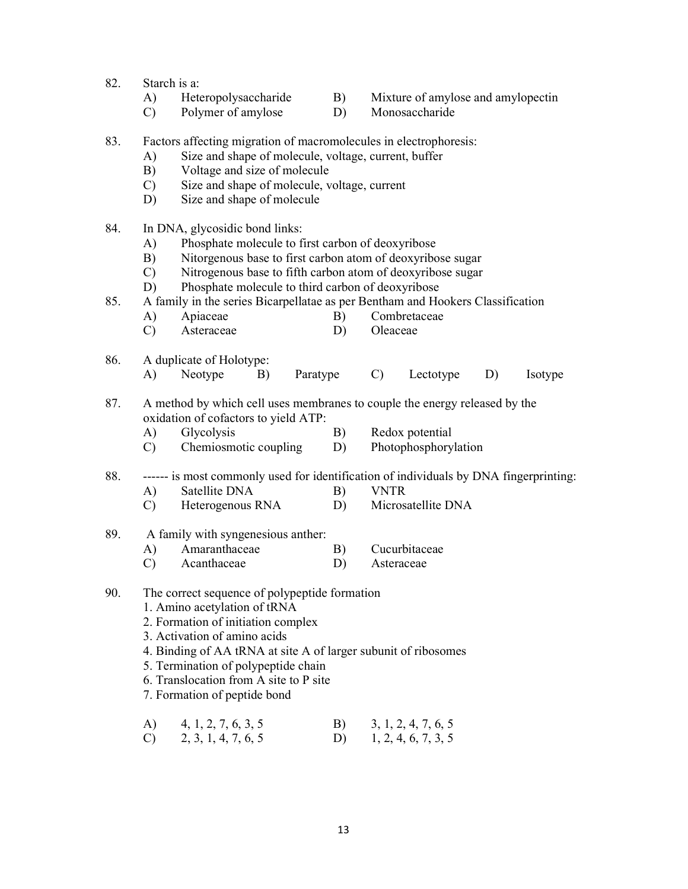- 82. Starch is a:
	-
	- A) Heteropolysaccharide B) Mixture of amylose and amylopectin
	- C) Polymer of amylose D) Monosaccharide
- 83. Factors affecting migration of macromolecules in electrophoresis:
	- A) Size and shape of molecule, voltage, current, buffer
	- B) Voltage and size of molecule
	- C) Size and shape of molecule, voltage, current
	- D) Size and shape of molecule
- 84. In DNA, glycosidic bond links:
	- A) Phosphate molecule to first carbon of deoxyribose
	- B) Nitorgenous base to first carbon atom of deoxyribose sugar
	- C) Nitrogenous base to fifth carbon atom of deoxyribose sugar
	- D) Phosphate molecule to third carbon of deoxyribose

## 85. A family in the series Bicarpellatae as per Bentham and Hookers Classification

- A) Apiaceae B) Combretaceae
- C) Asteraceae D) Oleaceae

## 86. A duplicate of Holotype:

- A) Neotype B) Paratype C) Lectotype D) Isotype
- 87. A method by which cell uses membranes to couple the energy released by the oxidation of cofactors to yield ATP:
	- A) Glycolysis B) Redox potential
	- C) Chemiosmotic coupling D) Photophosphorylation

# 88. ------ is most commonly used for identification of individuals by DNA fingerprinting:

- A) Satellite DNA B) VNTR
- C) Heterogenous RNA D) Microsatellite DNA
- 89. A family with syngenesious anther:
	- A) Amaranthaceae B) Cucurbitaceae
	- C) Acanthaceae D) Asteraceae
- 90. The correct sequence of polypeptide formation
	- 1. Amino acetylation of tRNA
	- 2. Formation of initiation complex
	- 3. Activation of amino acids
	- 4. Binding of AA tRNA at site A of larger subunit of ribosomes
	- 5. Termination of polypeptide chain
	- 6. Translocation from A site to P site
	- 7. Formation of peptide bond
	- A) 4, 1, 2, 7, 6, 3, 5 B) 3, 1, 2, 4, 7, 6, 5 C) 2, 3, 1, 4, 7, 6, 5 D) 1, 2, 4, 6, 7, 3, 5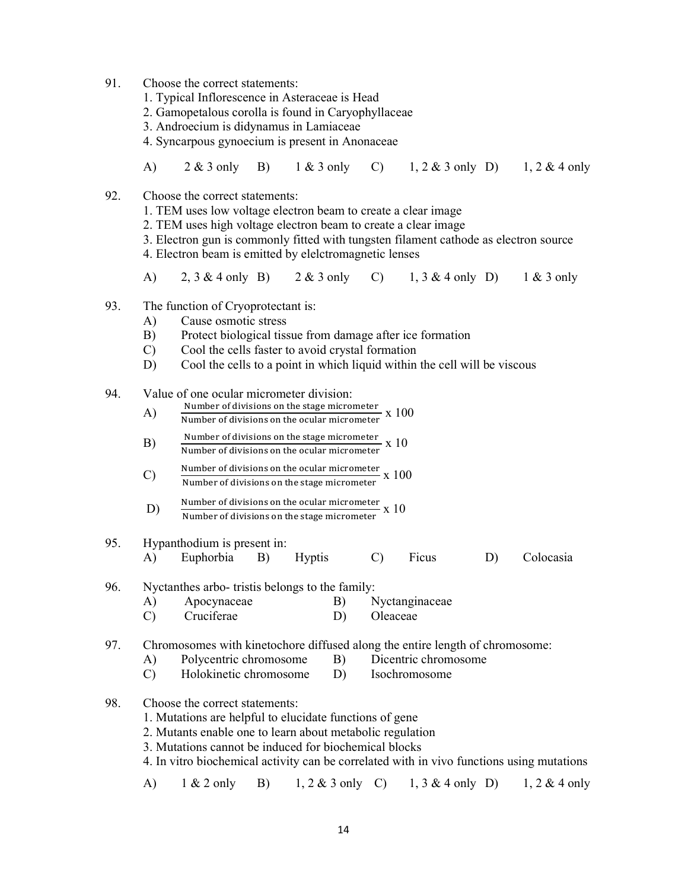- 91. Choose the correct statements:
	- 1. Typical Inflorescence in Asteraceae is Head
	- 2. Gamopetalous corolla is found in Caryophyllaceae
	- 3. Androecium is didynamus in Lamiaceae
	- 4. Syncarpous gynoecium is present in Anonaceae
	- A) 2 & 3 only B) 1 & 3 only C) 1, 2 & 3 only D) 1, 2 & 4 only
- 92. Choose the correct statements:
	- 1. TEM uses low voltage electron beam to create a clear image
	- 2. TEM uses high voltage electron beam to create a clear image
	- 3. Electron gun is commonly fitted with tungsten filament cathode as electron source
	- 4. Electron beam is emitted by elelctromagnetic lenses
	- A) 2, 3 & 4 only B) 2 & 3 only C) 1, 3 & 4 only D) 1 & 3 only
- 93. The function of Cryoprotectant is:
	- A) Cause osmotic stress
	- B) Protect biological tissue from damage after ice formation
	- C) Cool the cells faster to avoid crystal formation
	- D) Cool the cells to a point in which liquid within the cell will be viscous

## 94. Value of one ocular micrometer division:

- $\mathbf{A}$  Number of divisions on the stage micrometer  $\mathbf{x}$  100 Number of divisions on the ocular micrometer
- $\text{B)}$  Number of divisions on the stage micrometer  $\text{X}$  10<br>Number of divisions on the ocular micrometer
- $\text{C)}$  Number of divisions on the ocular micrometer  $\text{X}$  100 Number of divisions on the stage micrometer
- $\text{D)}$  Number of divisions on the ocular micrometer  $\text{X}$  10 Number of divisions on the stage micrometer
- 95. Hypanthodium is present in: A) Euphorbia B) Hyptis C) Ficus D) Colocasia

- 96. Nyctanthes arbo- tristis belongs to the family:
	- A) Apocynaceae B) Nyctanginaceae
	- C) Cruciferae D) Oleaceae
- 97. Chromosomes with kinetochore diffused along the entire length of chromosome:
	- A) Polycentric chromosome B) Dicentric chromosome
	- C) Holokinetic chromosome D) Isochromosome
- 98. Choose the correct statements:
	- 1. Mutations are helpful to elucidate functions of gene
	- 2. Mutants enable one to learn about metabolic regulation
	- 3. Mutations cannot be induced for biochemical blocks
	- 4. In vitro biochemical activity can be correlated with in vivo functions using mutations
	- A)  $1 \& 2 \text{ only } B$   $1, 2 \& 3 \text{ only } C$   $1, 3 \& 4 \text{ only } D$   $1, 2 \& 4 \text{ only}$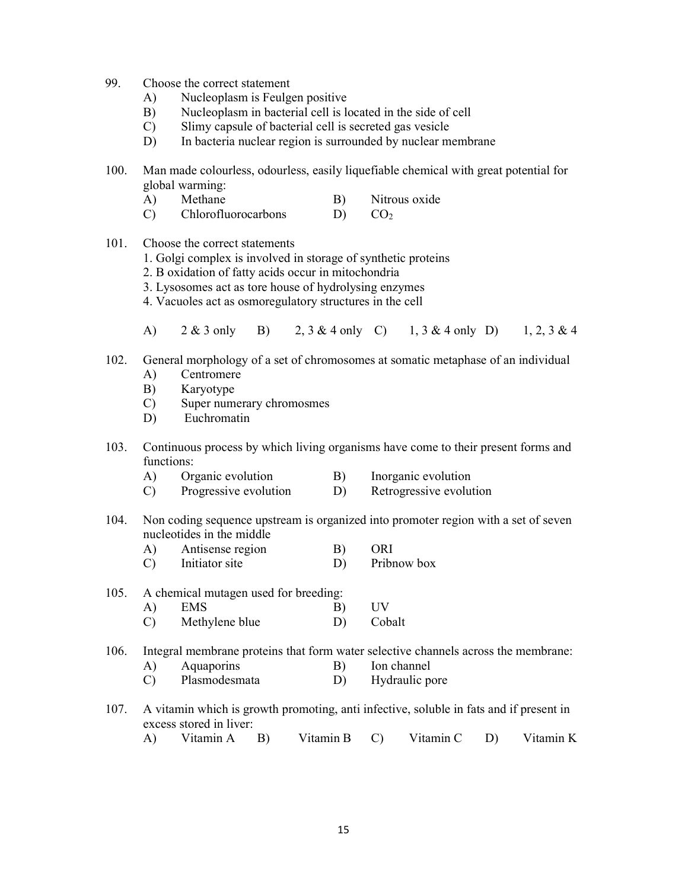- 99. Choose the correct statement
	- A) Nucleoplasm is Feulgen positive
	- B) Nucleoplasm in bacterial cell is located in the side of cell
	- C) Slimy capsule of bacterial cell is secreted gas vesicle
	- D) In bacteria nuclear region is surrounded by nuclear membrane
- 100. Man made colourless, odourless, easily liquefiable chemical with great potential for global warming:
	- A) Methane B) Nitrous oxide C) Chlorofluorocarbons D) CO<sup>2</sup>
- 101. Choose the correct statements
	- 1. Golgi complex is involved in storage of synthetic proteins
	- 2. B oxidation of fatty acids occur in mitochondria
	- 3. Lysosomes act as tore house of hydrolysing enzymes
	- 4. Vacuoles act as osmoregulatory structures in the cell
	- A) 2 & 3 only B) 2, 3 & 4 only C) 1, 3 & 4 only D) 1, 2, 3 & 4
- 102. General morphology of a set of chromosomes at somatic metaphase of an individual
	- A) Centromere
	- B) Karyotype
	- C) Super numerary chromosmes
	- D) Euchromatin
- 103. Continuous process by which living organisms have come to their present forms and functions:
	- A) Organic evolution B) Inorganic evolution
	- C) Progressive evolution D) Retrogressive evolution
- 104. Non coding sequence upstream is organized into promoter region with a set of seven nucleotides in the middle
	- A) Antisense region B) ORI
	- C) Initiator site D) Pribnow box
- 105. A chemical mutagen used for breeding: A) EMS B) UV C) Methylene blue D) Cobalt

106. Integral membrane proteins that form water selective channels across the membrane:

- A) Aquaporins B) Ion channel
- C) Plasmodesmata D) Hydraulic pore
- 107. A vitamin which is growth promoting, anti infective, soluble in fats and if present in excess stored in liver:
- A) Vitamin A B) Vitamin B C) Vitamin C D) Vitamin K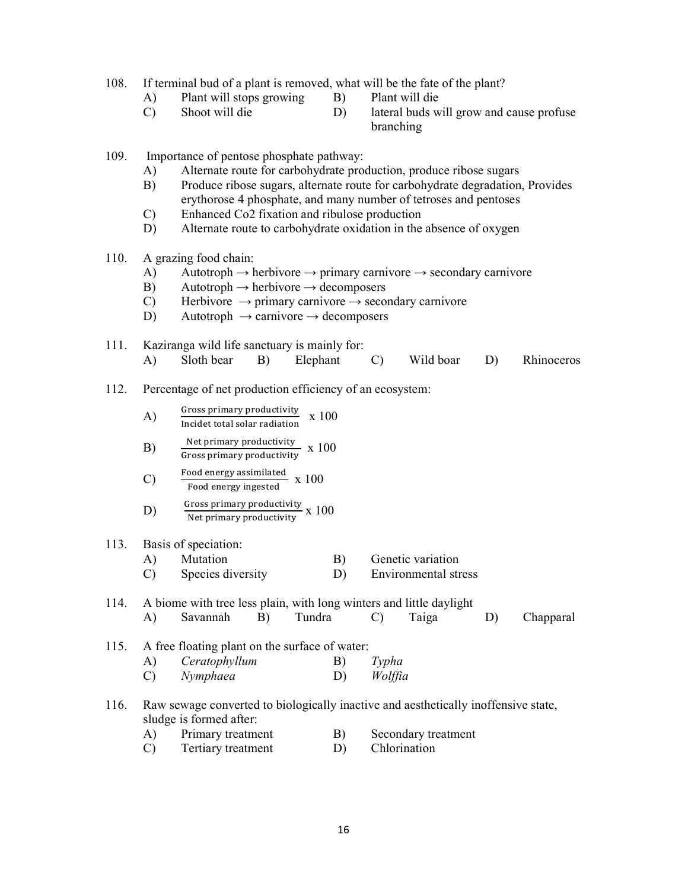108. If terminal bud of a plant is removed, what will be the fate of the plant?

- A) Plant will stops growing B) Plant will die
- -
- C) Shoot will die D) lateral buds will grow and cause profuse branching

109. Importance of pentose phosphate pathway:

- A) Alternate route for carbohydrate production, produce ribose sugars
- B) Produce ribose sugars, alternate route for carbohydrate degradation, Provides erythorose 4 phosphate, and many number of tetroses and pentoses
- C) Enhanced Co2 fixation and ribulose production
- D) Alternate route to carbohydrate oxidation in the absence of oxygen
- 110. A grazing food chain:
	- A) Autotroph  $\rightarrow$  herbivore  $\rightarrow$  primary carnivore  $\rightarrow$  secondary carnivore
	- B) Autotroph  $\rightarrow$  herbivore  $\rightarrow$  decomposers
	- C) Herbivore  $\rightarrow$  primary carnivore  $\rightarrow$  secondary carnivore
	- D) Autotroph  $\rightarrow$  carnivore  $\rightarrow$  decomposers
- 111. Kaziranga wild life sanctuary is mainly for: A) Sloth bear B) Elephant C) Wild boar D) Rhinoceros

# 112. Percentage of net production efficiency of an ecosystem:

| A) | Gross primary productivity    | x 100 |
|----|-------------------------------|-------|
|    | Incidet total solar radiation |       |

- $\text{B)}$   $\frac{\text{Net primary productivity}}{\text{Gross primary productivity}}$  x 100
- $\text{F}$   $\text{F}$   $\frac{100 \text{ m}}{\text{F} \cdot \text{F} \cdot \text{F} \cdot \text{F} \cdot \text{F} \cdot \text{F} \cdot \text{F} \cdot \text{F} \cdot \text{F} \cdot \text{F} \cdot \text{F} \cdot \text{F} \cdot \text{F} \cdot \text{F} \cdot \text{F} \cdot \text{F} \cdot \text{F} \cdot \text{F} \cdot \text{F} \cdot \text{F} \cdot \text{F} \cdot \text{F} \cdot \text{F} \cdot \text{F} \cdot \text{F} \cdot \text{F} \cdot \text{F} \cdot \text{F$
- $\text{D)}$  Gross primary productivity  $\text{x}$  100

# 113. Basis of speciation:

- A) Mutation B) Genetic variation
- C) Species diversity D) Environmental stress

| 114. | A biome with tree less plain, with long winters and little daylight |                                                     |    |              |         |       |  |           |  |
|------|---------------------------------------------------------------------|-----------------------------------------------------|----|--------------|---------|-------|--|-----------|--|
|      | A)                                                                  | Savannah                                            | B) | Tundra       |         | Taiga |  | Chapparal |  |
|      |                                                                     | 115. A free floating plant on the surface of water: |    |              |         |       |  |           |  |
|      | A)                                                                  | Ceratophyllum                                       |    | B)           | Typha   |       |  |           |  |
|      |                                                                     | Nymphaea                                            |    | $\mathbf{D}$ | Wolffia |       |  |           |  |

116. Raw sewage converted to biologically inactive and aesthetically inoffensive state, sludge is formed after:

| Primary treatment  | Secondary treatment |
|--------------------|---------------------|
| Tertiary treatment | <b>Chlorination</b> |